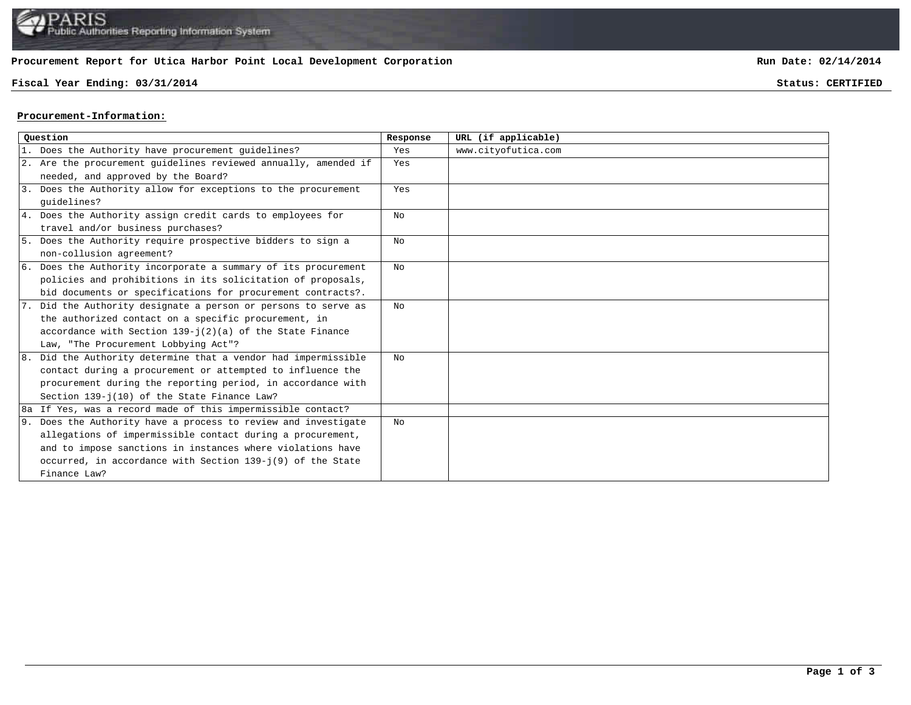

## **Procurement Report for Utica Harbor Point Local Development Corporation**

## **Fiscal Year Ending: 03/31/2014 Status: CERTIFIED**

**Run Date: 02/14/2014**

## **Procurement-Information:**

| Ouestion |                                                                 | Response | URL (if applicable) |
|----------|-----------------------------------------------------------------|----------|---------------------|
|          | 1. Does the Authority have procurement guidelines?              | Yes      | www.cityofutica.com |
|          | 2. Are the procurement quidelines reviewed annually, amended if | Yes      |                     |
|          | needed, and approved by the Board?                              |          |                     |
|          | 3. Does the Authority allow for exceptions to the procurement   | Yes      |                     |
|          | quidelines?                                                     |          |                     |
|          | 4. Does the Authority assign credit cards to employees for      | No       |                     |
|          | travel and/or business purchases?                               |          |                     |
|          | 5. Does the Authority require prospective bidders to sign a     | No       |                     |
|          | non-collusion agreement?                                        |          |                     |
|          | 6. Does the Authority incorporate a summary of its procurement  | No       |                     |
|          | policies and prohibitions in its solicitation of proposals,     |          |                     |
|          | bid documents or specifications for procurement contracts?.     |          |                     |
|          | 7. Did the Authority designate a person or persons to serve as  | No       |                     |
|          | the authorized contact on a specific procurement, in            |          |                     |
|          | accordance with Section $139 - j(2)(a)$ of the State Finance    |          |                     |
|          | Law, "The Procurement Lobbying Act"?                            |          |                     |
|          | 8. Did the Authority determine that a vendor had impermissible  | No       |                     |
|          | contact during a procurement or attempted to influence the      |          |                     |
|          | procurement during the reporting period, in accordance with     |          |                     |
|          | Section 139-j(10) of the State Finance Law?                     |          |                     |
|          | 8a If Yes, was a record made of this impermissible contact?     |          |                     |
|          | 9. Does the Authority have a process to review and investigate  | No       |                     |
|          | allegations of impermissible contact during a procurement,      |          |                     |
|          | and to impose sanctions in instances where violations have      |          |                     |
|          | occurred, in accordance with Section 139-j(9) of the State      |          |                     |
|          | Finance Law?                                                    |          |                     |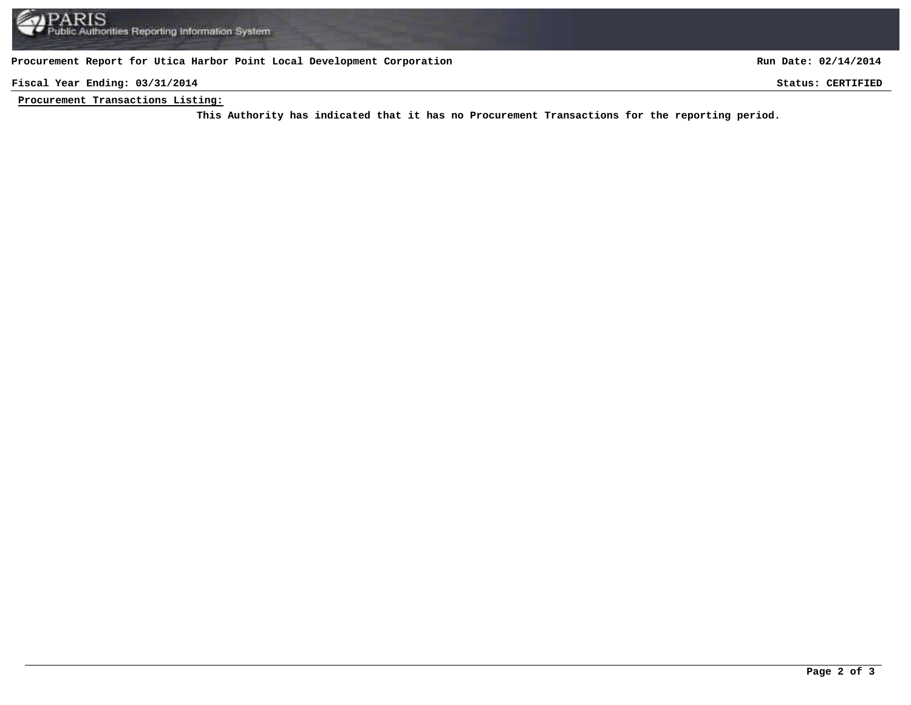**Procurement Report for Utica Harbor Point Local Development Corporation**

**Run Date: 02/14/2014**

**Fiscal Year Ending: 03/31/2014 Status: CERTIFIED**

**Procurement Transactions Listing:**

This Authority has indicated that it has no Procurement Transactions for the reporting period.